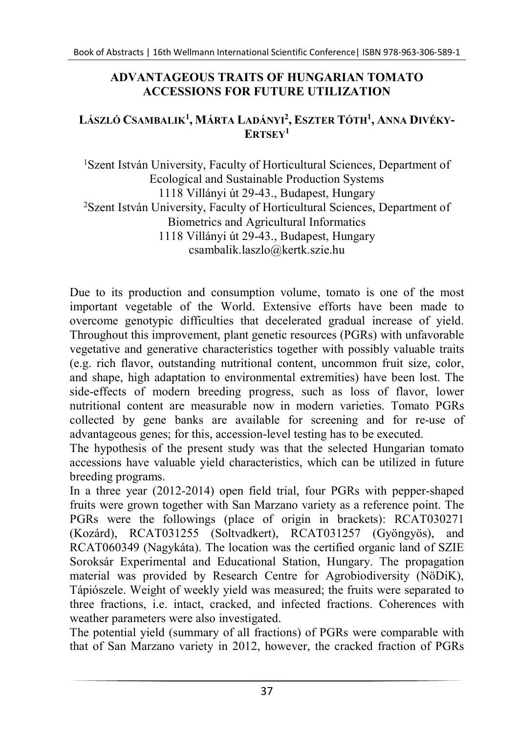## ADVANTAGEOUS TRAITS OF HUNGARIAN TOMATO ACCESSIONS FOR FUTURE UTILIZATION

## LÁSZLÓ CSAMBALIK<sup>1</sup>, MÁRTA LADÁNYI<sup>2</sup>, Eszter Tóth<sup>1</sup>, Anna Divéky- $E$ RTSE $V<sup>1</sup>$

<sup>1</sup>Szent István University, Faculty of Horticultural Sciences, Department of Ecological and Sustainable Production Systems 1118 Villányi út 29-43., Budapest, Hungary <sup>2</sup>Szent István University, Faculty of Horticultural Sciences, Department of Biometrics and Agricultural Informatics 1118 Villányi út 29-43., Budapest, Hungary csambalik.laszlo@kertk.szie.hu

Due to its production and consumption volume, tomato is one of the most important vegetable of the World. Extensive efforts have been made to overcome genotypic difficulties that decelerated gradual increase of yield. Throughout this improvement, plant genetic resources (PGRs) with unfavorable vegetative and generative characteristics together with possibly valuable traits (e.g. rich flavor, outstanding nutritional content, uncommon fruit size, color, and shape, high adaptation to environmental extremities) have been lost. The side-effects of modern breeding progress, such as loss of flavor, lower nutritional content are measurable now in modern varieties. Tomato PGRs collected by gene banks are available for screening and for re-use of advantageous genes; for this, accession-level testing has to be executed.

The hypothesis of the present study was that the selected Hungarian tomato accessions have valuable yield characteristics, which can be utilized in future breeding programs.

In a three year (2012-2014) open field trial, four PGRs with pepper-shaped fruits were grown together with San Marzano variety as a reference point. The PGRs were the followings (place of origin in brackets): RCAT030271 (Kozárd), RCAT031255 (Soltvadkert), RCAT031257 (Gyöngyös), and RCAT060349 (Nagykáta). The location was the certified organic land of SZIE Soroksár Experimental and Educational Station, Hungary. The propagation material was provided by Research Centre for Agrobiodiversity (NöDiK), Tápiószele. Weight of weekly yield was measured; the fruits were separated to three fractions, i.e. intact, cracked, and infected fractions. Coherences with weather parameters were also investigated.

The potential yield (summary of all fractions) of PGRs were comparable with that of San Marzano variety in 2012, however, the cracked fraction of PGRs